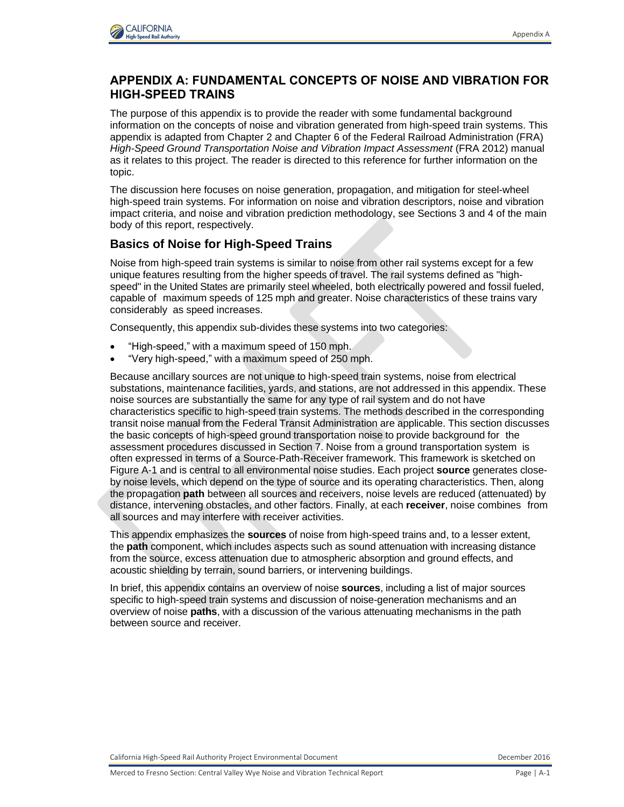

# **APPENDIX A: FUNDAMENTAL CONCEPTS OF NOISE AND VIBRATION FOR HIGH-SPEED TRAINS**

The purpose of this appendix is to provide the reader with some fundamental background information on the concepts of noise and vibration generated from high-speed train systems. This appendix is adapted from Chapter 2 and Chapter 6 of the Federal Railroad Administration (FRA) *High-Speed Ground Transportation Noise and Vibration Impact Assessment* (FRA 2012) manual as it relates to this project. The reader is directed to this reference for further information on the topic.

The discussion here focuses on noise generation, propagation, and mitigation for steel-wheel high-speed train systems. For information on noise and vibration descriptors, noise and vibration impact criteria, and noise and vibration prediction methodology, see Sections 3 and 4 of the main body of this report, respectively.

# **Basics of Noise for High-Speed Trains**

Noise from high-speed train systems is similar to noise from other rail systems except for a few unique features resulting from the higher speeds of travel. The rail systems defined as "highspeed" in the United States are primarily steel wheeled, both electrically powered and fossil fueled, capable of maximum speeds of 125 mph and greater. Noise characteristics of these trains vary considerably as speed increases.

Consequently, this appendix sub-divides these systems into two categories:

- "High-speed," with a maximum speed of 150 mph.
- "Very high-speed," with a maximum speed of 250 mph.

Because ancillary sources are not unique to high-speed train systems, noise from electrical substations, maintenance facilities, yards, and stations, are not addressed in this appendix. These noise sources are substantially the same for any type of rail system and do not have characteristics specific to high-speed train systems. The methods described in the corresponding transit noise manual from the Federal Transit Administration are applicable. This section discusses the basic concepts of high-speed ground transportation noise to provide background for the assessment procedures discussed in Section 7. Noise from a ground transportation system is often expressed in terms of a Source-Path-Receiver framework. This framework is sketched on Figure A-1 and is central to all environmental noise studies. Each project **source** generates closeby noise levels, which depend on the type of source and its operating characteristics. Then, along the propagation **path** between all sources and receivers, noise levels are reduced (attenuated) by distance, intervening obstacles, and other factors. Finally, at each **receiver**, noise combines from all sources and may interfere with receiver activities.

This appendix emphasizes the **sources** of noise from high-speed trains and, to a lesser extent, the **path** component, which includes aspects such as sound attenuation with increasing distance from the source, excess attenuation due to atmospheric absorption and ground effects, and acoustic shielding by terrain, sound barriers, or intervening buildings.

In brief, this appendix contains an overview of noise **sources**, including a list of major sources specific to high-speed train systems and discussion of noise-generation mechanisms and an overview of noise **paths**, with a discussion of the various attenuating mechanisms in the path between source and receiver.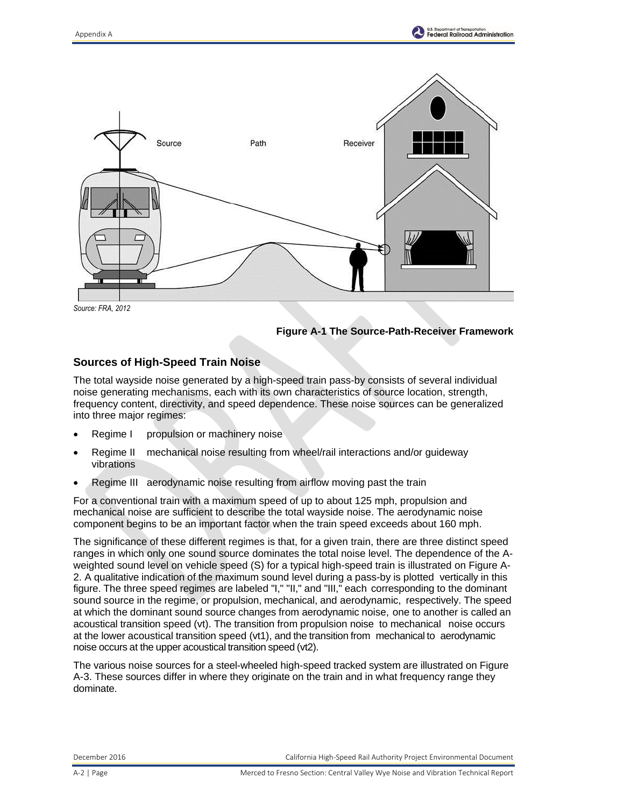

*Source: FRA, 2012*

**Figure A-1 The Source-Path-Receiver Framework**

### **Sources of High-Speed Train Noise**

The total wayside noise generated by a high-speed train pass-by consists of several individual noise generating mechanisms, each with its own characteristics of source location, strength, frequency content, directivity, and speed dependence. These noise sources can be generalized into three major regimes:

- Regime I propulsion or machinery noise
- Regime II mechanical noise resulting from wheel/rail interactions and/or guideway vibrations
- Regime III aerodynamic noise resulting from airflow moving past the train

For a conventional train with a maximum speed of up to about 125 mph, propulsion and mechanical noise are sufficient to describe the total wayside noise. The aerodynamic noise component begins to be an important factor when the train speed exceeds about 160 mph.

The significance of these different regimes is that, for a given train, there are three distinct speed ranges in which only one sound source dominates the total noise level. The dependence of the Aweighted sound level on vehicle speed (S) for a typical high-speed train is illustrated on Figure A-2. A qualitative indication of the maximum sound level during a pass-by is plotted vertically in this figure. The three speed regimes are labeled "I," "II," and "III," each corresponding to the dominant sound source in the regime, or propulsion, mechanical, and aerodynamic, respectively. The speed at which the dominant sound source changes from aerodynamic noise, one to another is called an acoustical transition speed (vt). The transition from propulsion noise to mechanical noise occurs at the lower acoustical transition speed (vt1), and the transition from mechanical to aerodynamic noise occurs at the upper acoustical transition speed (vt2).

The various noise sources for a steel-wheeled high-speed tracked system are illustrated on Figure A-3. These sources differ in where they originate on the train and in what frequency range they dominate.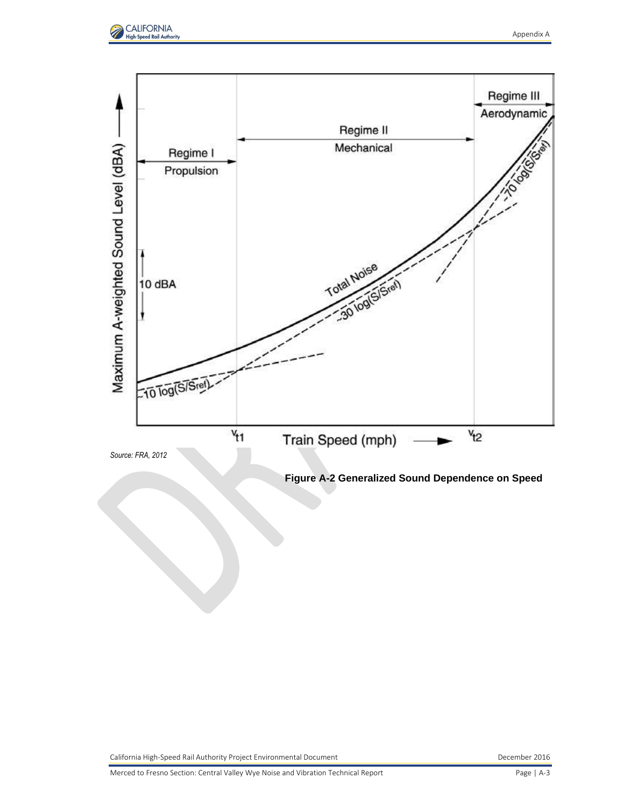

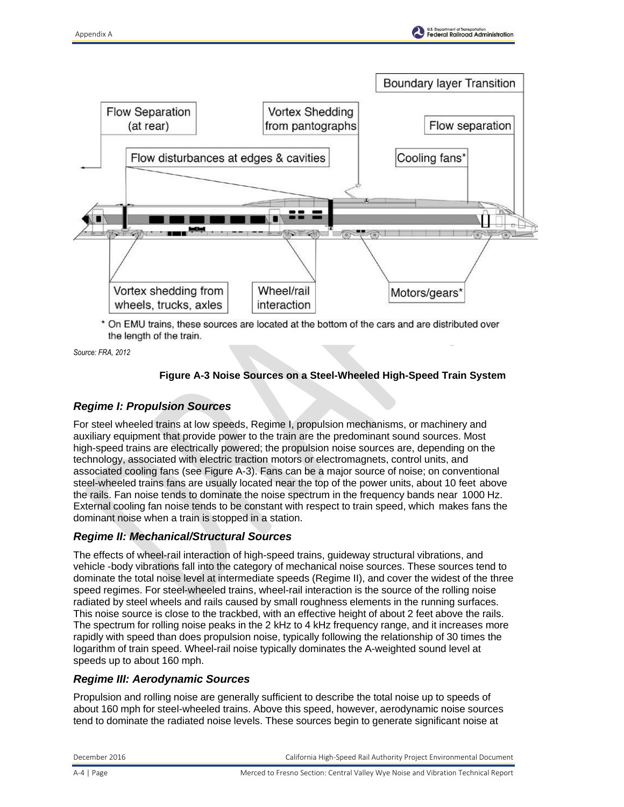



\* On EMU trains, these sources are located at the bottom of the cars and are distributed over the length of the train.

*Source: FRA, 2012*

### **Figure A-3 Noise Sources on a Steel-Wheeled High-Speed Train System**

### *Regime I: Propulsion Sources*

For steel wheeled trains at low speeds, Regime I, propulsion mechanisms, or machinery and auxiliary equipment that provide power to the train are the predominant sound sources. Most high-speed trains are electrically powered; the propulsion noise sources are, depending on the technology, associated with electric traction motors or electromagnets, control units, and associated cooling fans (see Figure A-3). Fans can be a major source of noise; on conventional steel-wheeled trains fans are usually located near the top of the power units, about 10 feet above the rails. Fan noise tends to dominate the noise spectrum in the frequency bands near 1000 Hz. External cooling fan noise tends to be constant with respect to train speed, which makes fans the dominant noise when a train is stopped in a station.

#### *Regime II: Mechanical/Structural Sources*

The effects of wheel-rail interaction of high-speed trains, guideway structural vibrations, and vehicle -body vibrations fall into the category of mechanical noise sources. These sources tend to dominate the total noise level at intermediate speeds (Regime II), and cover the widest of the three speed regimes. For steel-wheeled trains, wheel-rail interaction is the source of the rolling noise radiated by steel wheels and rails caused by small roughness elements in the running surfaces. This noise source is close to the trackbed, with an effective height of about 2 feet above the rails. The spectrum for rolling noise peaks in the 2 kHz to 4 kHz frequency range, and it increases more rapidly with speed than does propulsion noise, typically following the relationship of 30 times the logarithm of train speed. Wheel-rail noise typically dominates the A-weighted sound level at speeds up to about 160 mph.

#### *Regime III: Aerodynamic Sources*

Propulsion and rolling noise are generally sufficient to describe the total noise up to speeds of about 160 mph for steel-wheeled trains. Above this speed, however, aerodynamic noise sources tend to dominate the radiated noise levels. These sources begin to generate significant noise at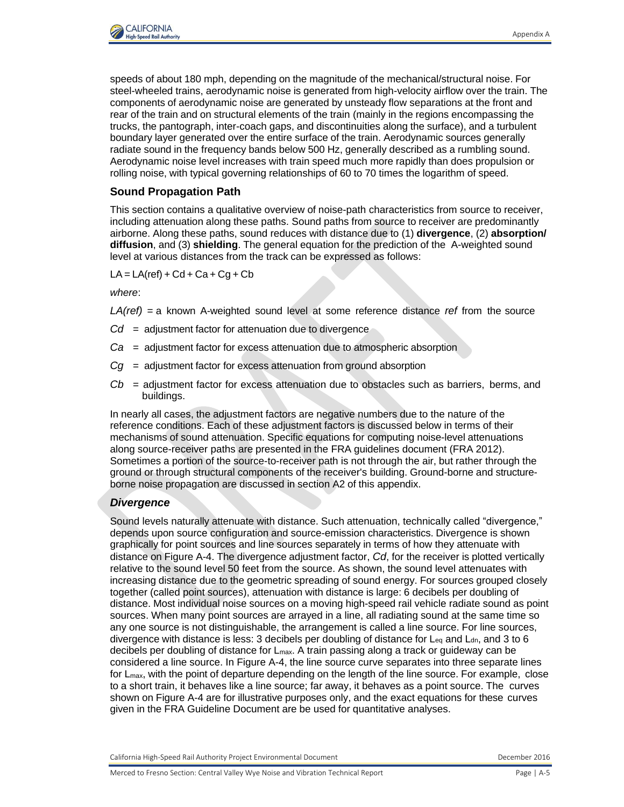

speeds of about 180 mph, depending on the magnitude of the mechanical/structural noise. For steel-wheeled trains, aerodynamic noise is generated from high-velocity airflow over the train. The components of aerodynamic noise are generated by unsteady flow separations at the front and rear of the train and on structural elements of the train (mainly in the regions encompassing the trucks, the pantograph, inter-coach gaps, and discontinuities along the surface), and a turbulent boundary layer generated over the entire surface of the train. Aerodynamic sources generally radiate sound in the frequency bands below 500 Hz, generally described as a rumbling sound. Aerodynamic noise level increases with train speed much more rapidly than does propulsion or rolling noise, with typical governing relationships of 60 to 70 times the logarithm of speed.

### **Sound Propagation Path**

This section contains a qualitative overview of noise-path characteristics from source to receiver, including attenuation along these paths. Sound paths from source to receiver are predominantly airborne. Along these paths, sound reduces with distance due to (1) **divergence**, (2) **absorption/ diffusion**, and (3) **shielding**. The general equation for the prediction of the A-weighted sound level at various distances from the track can be expressed as follows:

 $LA = LA(ref) + Cd + Ca + Cg + Cb$ 

*where*:

*LA(ref)* = a known A-weighted sound level at some reference distance *ref* from the source

- *Cd* = adjustment factor for attenuation due to divergence
- *Ca* = adjustment factor for excess attenuation due to atmospheric absorption
- *Cg* = adjustment factor for excess attenuation from ground absorption
- *Cb* = adjustment factor for excess attenuation due to obstacles such as barriers, berms, and buildings.

In nearly all cases, the adjustment factors are negative numbers due to the nature of the reference conditions. Each of these adjustment factors is discussed below in terms of their mechanisms of sound attenuation. Specific equations for computing noise-level attenuations along source-receiver paths are presented in the FRA guidelines document (FRA 2012). Sometimes a portion of the source-to-receiver path is not through the air, but rather through the ground or through structural components of the receiver's building. Ground-borne and structureborne noise propagation are discussed in section A2 of this appendix.

#### *Divergence*

Sound levels naturally attenuate with distance. Such attenuation, technically called "divergence," depends upon source configuration and source-emission characteristics. Divergence is shown graphically for point sources and line sources separately in terms of how they attenuate with distance on Figure A-4. The divergence adjustment factor, *Cd*, for the receiver is plotted vertically relative to the sound level 50 feet from the source. As shown, the sound level attenuates with increasing distance due to the geometric spreading of sound energy. For sources grouped closely together (called point sources), attenuation with distance is large: 6 decibels per doubling of distance. Most individual noise sources on a moving high-speed rail vehicle radiate sound as point sources. When many point sources are arrayed in a line, all radiating sound at the same time so any one source is not distinguishable, the arrangement is called a line source. For line sources, divergence with distance is less: 3 decibels per doubling of distance for L<sub>eq</sub> and L<sub>dn</sub>, and 3 to 6 decibels per doubling of distance for Lmax. A train passing along a track or guideway can be considered a line source. In Figure A-4, the line source curve separates into three separate lines for L<sub>max</sub>, with the point of departure depending on the length of the line source. For example, close to a short train, it behaves like a line source; far away, it behaves as a point source. The curves shown on Figure A-4 are for illustrative purposes only, and the exact equations for these curves given in the FRA Guideline Document are be used for quantitative analyses.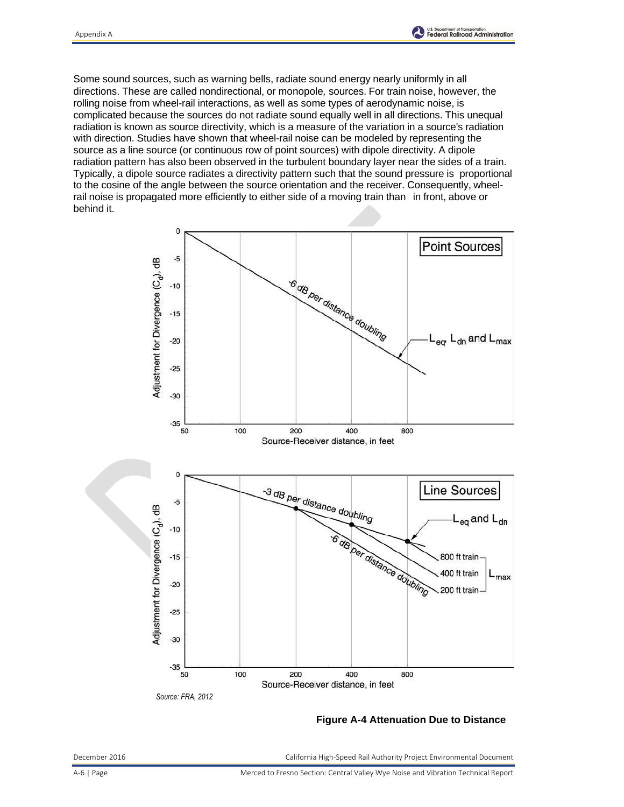

Some sound sources, such as warning bells, radiate sound energy nearly uniformly in all directions. These are called nondirectional, or monopole*,* sources. For train noise, however, the rolling noise from wheel-rail interactions, as well as some types of aerodynamic noise, is complicated because the sources do not radiate sound equally well in all directions. This unequal radiation is known as source directivity, which is a measure of the variation in a source's radiation with direction. Studies have shown that wheel-rail noise can be modeled by representing the source as a line source (or continuous row of point sources) with dipole directivity. A dipole radiation pattern has also been observed in the turbulent boundary layer near the sides of a train. Typically, a dipole source radiates a directivity pattern such that the sound pressure is proportional to the cosine of the angle between the source orientation and the receiver. Consequently, wheelrail noise is propagated more efficiently to either side of a moving train than in front, above or behind it.



#### **Figure A-4 Attenuation Due to Distance**

December 2016 California High-Speed Rail Authority Project Environmental Document

A-6 | Page Merced to Fresno Section: Central Valley Wye Noise and Vibration Technical Report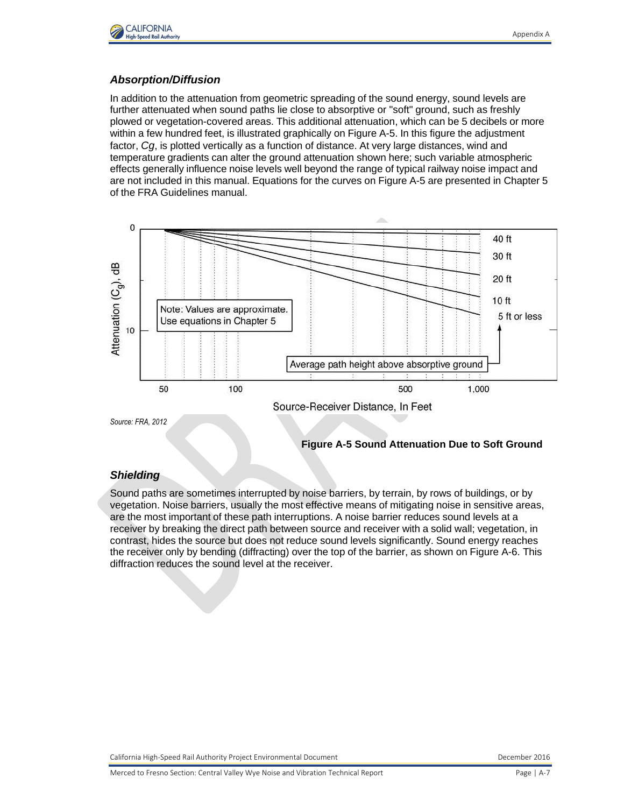

#### *Absorption/Diffusion*

In addition to the attenuation from geometric spreading of the sound energy, sound levels are further attenuated when sound paths lie close to absorptive or "soft" ground, such as freshly plowed or vegetation-covered areas. This additional attenuation, which can be 5 decibels or more within a few hundred feet, is illustrated graphically on Figure A-5. In this figure the adjustment factor, *Cg*, is plotted vertically as a function of distance. At very large distances, wind and temperature gradients can alter the ground attenuation shown here; such variable atmospheric effects generally influence noise levels well beyond the range of typical railway noise impact and are not included in this manual. Equations for the curves on Figure A-5 are presented in Chapter 5 of the FRA Guidelines manual.



### **Figure A-5 Sound Attenuation Due to Soft Ground**

#### *Shielding*

Sound paths are sometimes interrupted by noise barriers, by terrain, by rows of buildings, or by vegetation. Noise barriers, usually the most effective means of mitigating noise in sensitive areas, are the most important of these path interruptions. A noise barrier reduces sound levels at a receiver by breaking the direct path between source and receiver with a solid wall; vegetation, in contrast, hides the source but does not reduce sound levels significantly. Sound energy reaches the receiver only by bending (diffracting) over the top of the barrier, as shown on Figure A-6. This diffraction reduces the sound level at the receiver.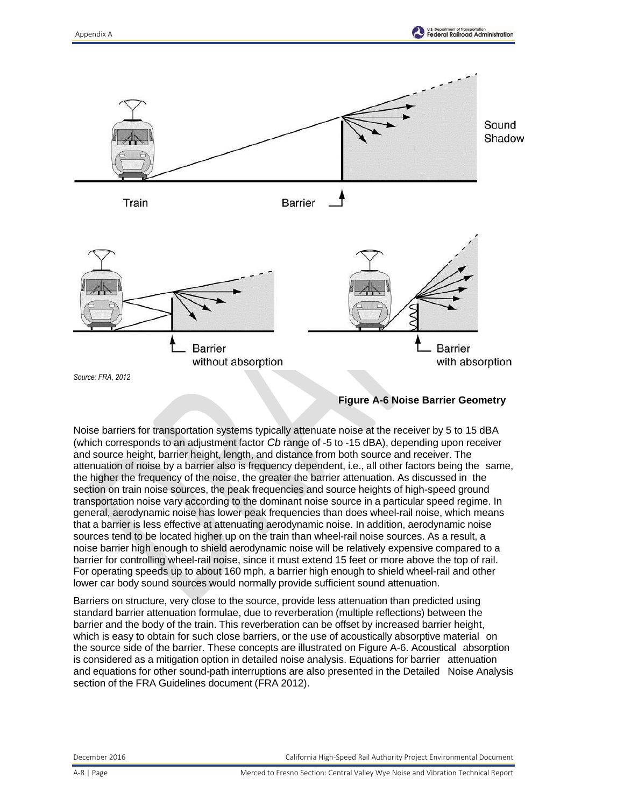

#### **Figure A-6 Noise Barrier Geometry**

Noise barriers for transportation systems typically attenuate noise at the receiver by 5 to 15 dBA (which corresponds to an adjustment factor *Cb* range of -5 to -15 dBA), depending upon receiver and source height, barrier height, length, and distance from both source and receiver. The attenuation of noise by a barrier also is frequency dependent, i.e., all other factors being the same, the higher the frequency of the noise, the greater the barrier attenuation. As discussed in the section on train noise sources, the peak frequencies and source heights of high-speed ground transportation noise vary according to the dominant noise source in a particular speed regime. In general, aerodynamic noise has lower peak frequencies than does wheel-rail noise, which means that a barrier is less effective at attenuating aerodynamic noise. In addition, aerodynamic noise sources tend to be located higher up on the train than wheel-rail noise sources. As a result, a noise barrier high enough to shield aerodynamic noise will be relatively expensive compared to a barrier for controlling wheel-rail noise, since it must extend 15 feet or more above the top of rail. For operating speeds up to about 160 mph, a barrier high enough to shield wheel-rail and other lower car body sound sources would normally provide sufficient sound attenuation.

Barriers on structure, very close to the source, provide less attenuation than predicted using standard barrier attenuation formulae, due to reverberation (multiple reflections) between the barrier and the body of the train. This reverberation can be offset by increased barrier height, which is easy to obtain for such close barriers, or the use of acoustically absorptive material on the source side of the barrier. These concepts are illustrated on Figure A-6. Acoustical absorption is considered as a mitigation option in detailed noise analysis. Equations for barrier attenuation and equations for other sound-path interruptions are also presented in the Detailed Noise Analysis section of the FRA Guidelines document (FRA 2012).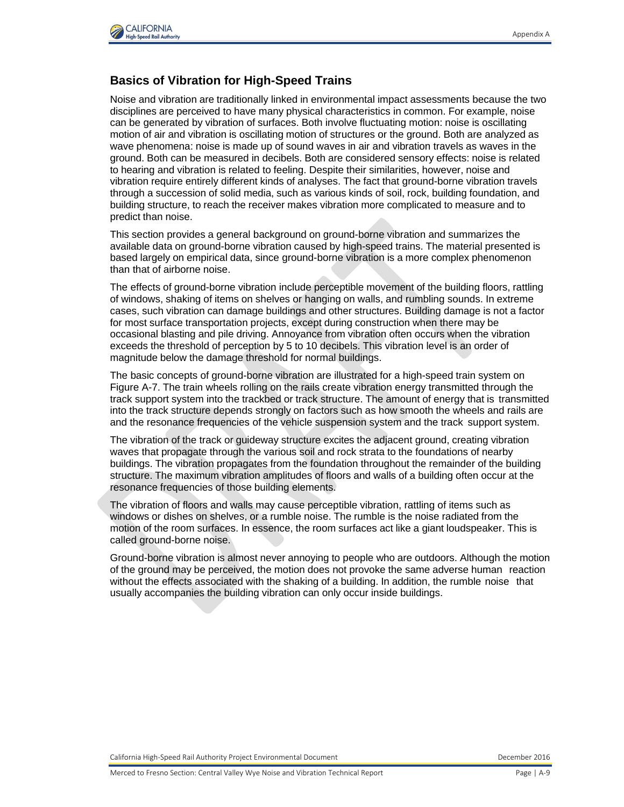

## **Basics of Vibration for High-Speed Trains**

Noise and vibration are traditionally linked in environmental impact assessments because the two disciplines are perceived to have many physical characteristics in common. For example, noise can be generated by vibration of surfaces. Both involve fluctuating motion: noise is oscillating motion of air and vibration is oscillating motion of structures or the ground. Both are analyzed as wave phenomena: noise is made up of sound waves in air and vibration travels as waves in the ground. Both can be measured in decibels. Both are considered sensory effects: noise is related to hearing and vibration is related to feeling. Despite their similarities, however, noise and vibration require entirely different kinds of analyses. The fact that ground-borne vibration travels through a succession of solid media, such as various kinds of soil, rock, building foundation, and building structure, to reach the receiver makes vibration more complicated to measure and to predict than noise.

This section provides a general background on ground-borne vibration and summarizes the available data on ground-borne vibration caused by high-speed trains. The material presented is based largely on empirical data, since ground-borne vibration is a more complex phenomenon than that of airborne noise.

The effects of ground-borne vibration include perceptible movement of the building floors, rattling of windows, shaking of items on shelves or hanging on walls, and rumbling sounds. In extreme cases, such vibration can damage buildings and other structures. Building damage is not a factor for most surface transportation projects, except during construction when there may be occasional blasting and pile driving. Annoyance from vibration often occurs when the vibration exceeds the threshold of perception by 5 to 10 decibels. This vibration level is an order of magnitude below the damage threshold for normal buildings.

The basic concepts of ground-borne vibration are illustrated for a high-speed train system on Figure A-7. The train wheels rolling on the rails create vibration energy transmitted through the track support system into the trackbed or track structure. The amount of energy that is transmitted into the track structure depends strongly on factors such as how smooth the wheels and rails are and the resonance frequencies of the vehicle suspension system and the track support system.

The vibration of the track or guideway structure excites the adjacent ground, creating vibration waves that propagate through the various soil and rock strata to the foundations of nearby buildings. The vibration propagates from the foundation throughout the remainder of the building structure. The maximum vibration amplitudes of floors and walls of a building often occur at the resonance frequencies of those building elements.

The vibration of floors and walls may cause perceptible vibration, rattling of items such as windows or dishes on shelves, or a rumble noise. The rumble is the noise radiated from the motion of the room surfaces. In essence, the room surfaces act like a giant loudspeaker. This is called ground-borne noise.

Ground-borne vibration is almost never annoying to people who are outdoors. Although the motion of the ground may be perceived, the motion does not provoke the same adverse human reaction without the effects associated with the shaking of a building. In addition, the rumble noise that usually accompanies the building vibration can only occur inside buildings.

California High-Speed Rail Authority Project Environmental Document **December 2016** December 2016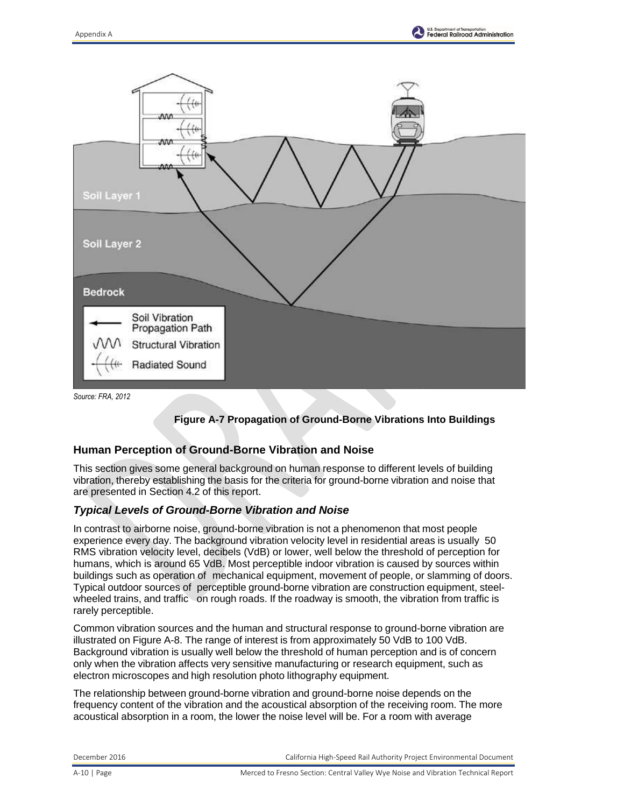





### **Human Perception of Ground-Borne Vibration and Noise**

This section gives some general background on human response to different levels of building vibration, thereby establishing the basis for the criteria for ground-borne vibration and noise that are presented in Section 4.2 of this report.

#### *Typical Levels of Ground-Borne Vibration and Noise*

In contrast to airborne noise, ground-borne vibration is not a phenomenon that most people experience every day. The background vibration velocity level in residential areas is usually 50 RMS vibration velocity level, decibels (VdB) or lower, well below the threshold of perception for humans, which is around 65 VdB. Most perceptible indoor vibration is caused by sources within buildings such as operation of mechanical equipment, movement of people, or slamming of doors. Typical outdoor sources of perceptible ground-borne vibration are construction equipment, steelwheeled trains, and traffic on rough roads. If the roadway is smooth, the vibration from traffic is rarely perceptible.

Common vibration sources and the human and structural response to ground-borne vibration are illustrated on Figure A-8. The range of interest is from approximately 50 VdB to 100 VdB. Background vibration is usually well below the threshold of human perception and is of concern only when the vibration affects very sensitive manufacturing or research equipment, such as electron microscopes and high resolution photo lithography equipment.

The relationship between ground-borne vibration and ground-borne noise depends on the frequency content of the vibration and the acoustical absorption of the receiving room. The more acoustical absorption in a room, the lower the noise level will be. For a room with average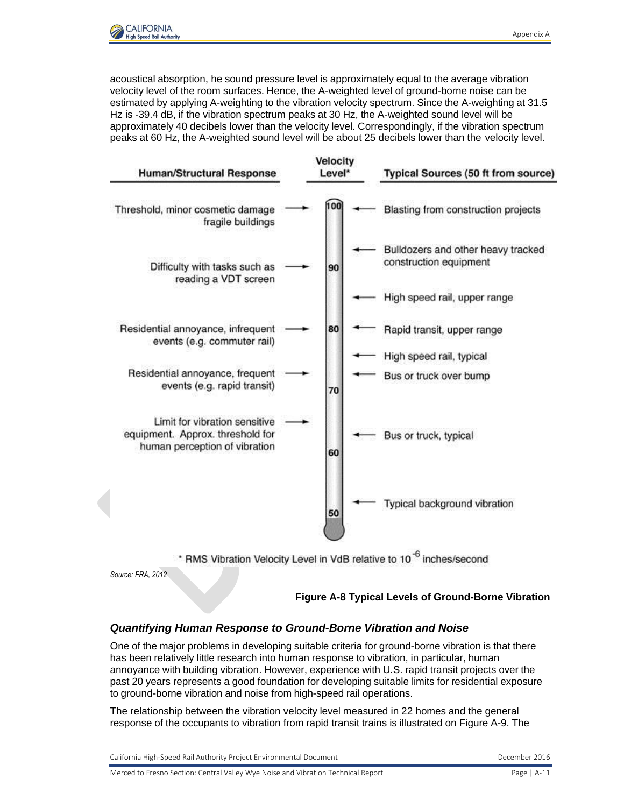

acoustical absorption, he sound pressure level is approximately equal to the average vibration velocity level of the room surfaces. Hence, the A-weighted level of ground-borne noise can be estimated by applying A-weighting to the vibration velocity spectrum. Since the A-weighting at 31.5 Hz is -39.4 dB, if the vibration spectrum peaks at 30 Hz, the A-weighted sound level will be approximately 40 decibels lower than the velocity level. Correspondingly, if the vibration spectrum peaks at 60 Hz, the A-weighted sound level will be about 25 decibels lower than the velocity level.

| <b>Human/Structural Response</b>                                                                   | <b>Velocity</b><br>Level* |     | <b>Typical Sources (50 ft from source)</b>                                       |
|----------------------------------------------------------------------------------------------------|---------------------------|-----|----------------------------------------------------------------------------------|
| Threshold, minor cosmetic damage<br>fragile buildings                                              |                           | 100 | Blasting from construction projects                                              |
| Difficulty with tasks such as<br>reading a VDT screen                                              |                           | 90  | Bulldozers and other heavy tracked<br>construction equipment                     |
|                                                                                                    |                           |     | High speed rail, upper range                                                     |
| Residential annoyance, infrequent<br>events (e.g. commuter rail)                                   |                           | 80  | Rapid transit, upper range                                                       |
|                                                                                                    |                           |     | High speed rail, typical                                                         |
| Residential annoyance, frequent<br>events (e.g. rapid transit)                                     |                           | 70  | Bus or truck over bump                                                           |
| Limit for vibration sensitive<br>equipment. Approx. threshold for<br>human perception of vibration |                           | 60  | Bus or truck, typical                                                            |
|                                                                                                    |                           | 50  | Typical background vibration                                                     |
|                                                                                                    |                           |     | * RMS Vibration Velocity Level in VdB relative to 10 <sup>-6</sup> inches/second |

*Source: FRA, 2012*

**Figure A-8 Typical Levels of Ground-Borne Vibration**

### *Quantifying Human Response to Ground-Borne Vibration and Noise*

One of the major problems in developing suitable criteria for ground-borne vibration is that there has been relatively little research into human response to vibration, in particular, human annoyance with building vibration. However, experience with U.S. rapid transit projects over the past 20 years represents a good foundation for developing suitable limits for residential exposure to ground-borne vibration and noise from high-speed rail operations.

The relationship between the vibration velocity level measured in 22 homes and the general response of the occupants to vibration from rapid transit trains is illustrated on Figure A-9. The

| California High-Speed Rail Authority Project Environmental Document |  |
|---------------------------------------------------------------------|--|
|                                                                     |  |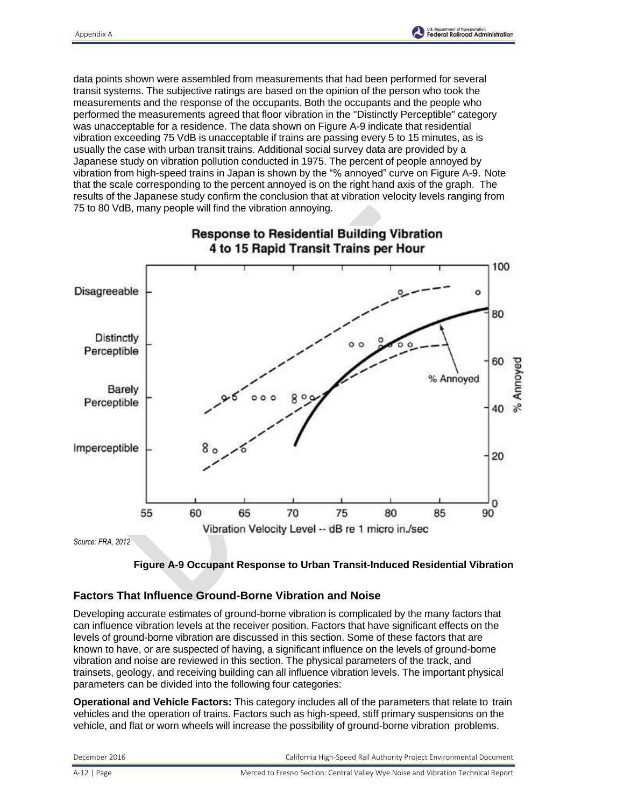

data points shown were assembled from measurements that had been performed for several transit systems. The subjective ratings are based on the opinion of the person who took the measurements and the response of the occupants. Both the occupants and the people who performed the measurements agreed that floor vibration in the "Distinctly Perceptible" category was unacceptable for a residence. The data shown on Figure A-9 indicate that residential vibration exceeding 75 VdB is unacceptable if trains are passing every 5 to 15 minutes, as is usually the case with urban transit trains. Additional social survey data are provided by a Japanese study on vibration pollution conducted in 1975. The percent of people annoyed by vibration from high-speed trains in Japan is shown by the "% annoyed" curve on Figure A-9. Note that the scale corresponding to the percent annoyed is on the right hand axis of the graph. The results of the Japanese study confirm the conclusion that at vibration velocity levels ranging from 75 to 80 VdB, many people will find the vibration annoying.





#### **Factors That Influence Ground-Borne Vibration and Noise**

Developing accurate estimates of ground-borne vibration is complicated by the many factors that can influence vibration levels at the receiver position. Factors that have significant effects on the levels of ground-borne vibration are discussed in this section. Some of these factors that are known to have, or are suspected of having, a significant influence on the levels of ground-borne vibration and noise are reviewed in this section. The physical parameters of the track, and trainsets, geology, and receiving building can all influence vibration levels. The important physical parameters can be divided into the following four categories:

**Operational and Vehicle Factors:** This category includes all of the parameters that relate to train vehicles and the operation of trains. Factors such as high-speed, stiff primary suspensions on the vehicle, and flat or worn wheels will increase the possibility of ground-borne vibration problems.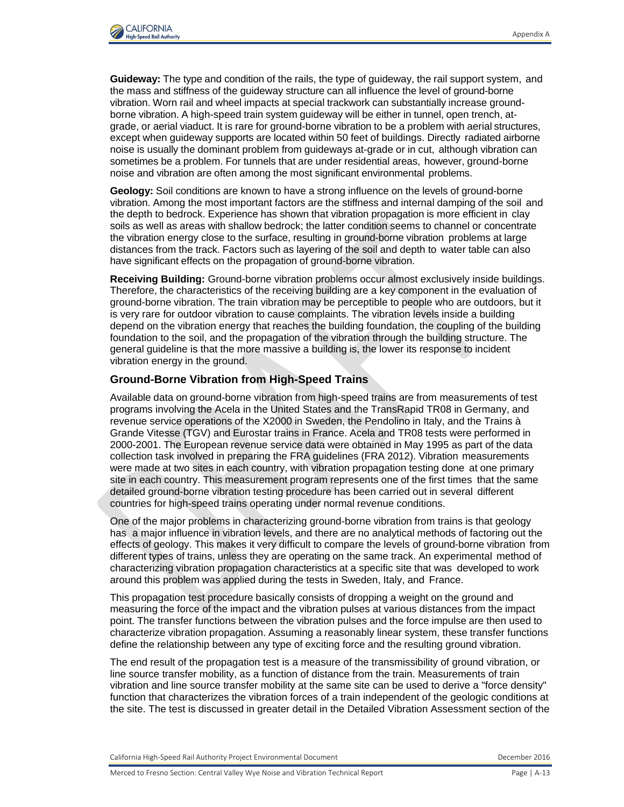

**Guideway:** The type and condition of the rails, the type of guideway, the rail support system, and the mass and stiffness of the guideway structure can all influence the level of ground-borne vibration. Worn rail and wheel impacts at special trackwork can substantially increase groundborne vibration. A high-speed train system guideway will be either in tunnel, open trench, atgrade, or aerial viaduct. It is rare for ground-borne vibration to be a problem with aerial structures, except when guideway supports are located within 50 feet of buildings. Directly radiated airborne noise is usually the dominant problem from guideways at-grade or in cut, although vibration can sometimes be a problem. For tunnels that are under residential areas, however, ground-borne noise and vibration are often among the most significant environmental problems.

**Geology:** Soil conditions are known to have a strong influence on the levels of ground-borne vibration. Among the most important factors are the stiffness and internal damping of the soil and the depth to bedrock. Experience has shown that vibration propagation is more efficient in clay soils as well as areas with shallow bedrock; the latter condition seems to channel or concentrate the vibration energy close to the surface, resulting in ground-borne vibration problems at large distances from the track. Factors such as layering of the soil and depth to water table can also have significant effects on the propagation of ground-borne vibration.

**Receiving Building:** Ground-borne vibration problems occur almost exclusively inside buildings. Therefore, the characteristics of the receiving building are a key component in the evaluation of ground-borne vibration. The train vibration may be perceptible to people who are outdoors, but it is very rare for outdoor vibration to cause complaints. The vibration levels inside a building depend on the vibration energy that reaches the building foundation, the coupling of the building foundation to the soil, and the propagation of the vibration through the building structure. The general guideline is that the more massive a building is, the lower its response to incident vibration energy in the ground.

#### **Ground-Borne Vibration from High-Speed Trains**

Available data on ground-borne vibration from high-speed trains are from measurements of test programs involving the Acela in the United States and the TransRapid TR08 in Germany, and revenue service operations of the X2000 in Sweden, the Pendolino in Italy, and the Trains à Grande Vitesse (TGV) and Eurostar trains in France. Acela and TR08 tests were performed in 2000-2001. The European revenue service data were obtained in May 1995 as part of the data collection task involved in preparing the FRA guidelines (FRA 2012). Vibration measurements were made at two sites in each country, with vibration propagation testing done at one primary site in each country. This measurement program represents one of the first times that the same detailed ground-borne vibration testing procedure has been carried out in several different countries for high-speed trains operating under normal revenue conditions.

One of the major problems in characterizing ground-borne vibration from trains is that geology has a major influence in vibration levels, and there are no analytical methods of factoring out the effects of geology. This makes it very difficult to compare the levels of ground-borne vibration from different types of trains, unless they are operating on the same track. An experimental method of characterizing vibration propagation characteristics at a specific site that was developed to work around this problem was applied during the tests in Sweden, Italy, and France.

This propagation test procedure basically consists of dropping a weight on the ground and measuring the force of the impact and the vibration pulses at various distances from the impact point. The transfer functions between the vibration pulses and the force impulse are then used to characterize vibration propagation. Assuming a reasonably linear system, these transfer functions define the relationship between any type of exciting force and the resulting ground vibration.

The end result of the propagation test is a measure of the transmissibility of ground vibration, or line source transfer mobility, as a function of distance from the train. Measurements of train vibration and line source transfer mobility at the same site can be used to derive a "force density" function that characterizes the vibration forces of a train independent of the geologic conditions at the site. The test is discussed in greater detail in the Detailed Vibration Assessment section of the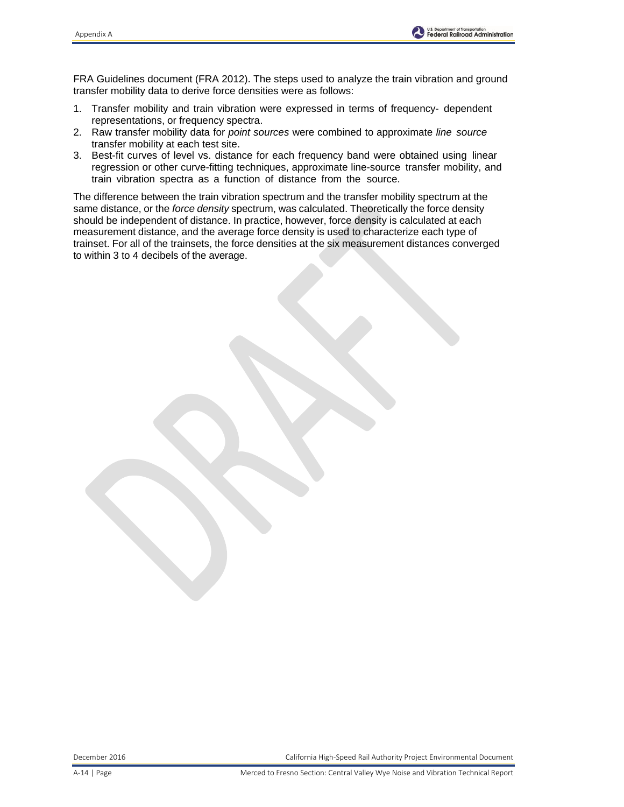FRA Guidelines document (FRA 2012). The steps used to analyze the train vibration and ground transfer mobility data to derive force densities were as follows:

- 1. Transfer mobility and train vibration were expressed in terms of frequency- dependent representations, or frequency spectra.
- 2. Raw transfer mobility data for *point sources* were combined to approximate *line source* transfer mobility at each test site.
- 3. Best-fit curves of level vs. distance for each frequency band were obtained using linear regression or other curve-fitting techniques, approximate line-source transfer mobility, and train vibration spectra as a function of distance from the source.

The difference between the train vibration spectrum and the transfer mobility spectrum at the same distance, or the *force density* spectrum, was calculated. Theoretically the force density should be independent of distance. In practice, however, force density is calculated at each measurement distance, and the average force density is used to characterize each type of trainset. For all of the trainsets, the force densities at the six measurement distances converged to within 3 to 4 decibels of the average.